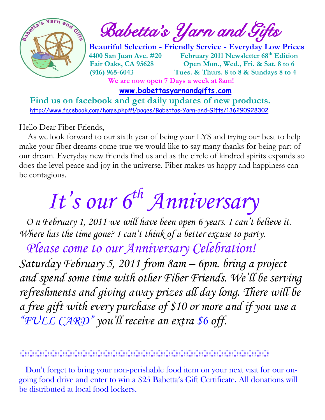

 $\int_{a}^{\infty}$  and  $\int_{a}^{\infty}$  and  $\int_{a}^{\infty}$  Babetta's Yarn and Gifts

 **Beautiful Selection - Friendly Service - Everyday Low Prices 4400 San Juan Ave. #20 February 2011 Newsletter 68th Edition Fair Oaks, CA 95628 Open Mon., Wed., Fri. & Sat. 8 to 6 (916) 965-6043 Tues. & Thurs. 8 to 8 & Sundays 8 to 4 We are now open 7 Days a week at 8am!** 

 **[www.babettasyarnandgifts.com](http://www.babettasyarnandgifts.com/)**

 **Find us on facebook and get daily updates of new products.**  <http://www.facebook.com/home.php#!/pages/Babettas-Yarn-and-Gifts/136290928302>

Hello Dear Fiber Friends,

 As we look forward to our sixth year of being your LYS and trying our best to help make your fiber dreams come true we would like to say many thanks for being part of our dream. Everyday new friends find us and as the circle of kindred spirits expands so does the level peace and joy in the universe. Fiber makes us happy and happiness can be contagious.

# *It's our 6th Anniversary*

 *O n February 1, 2011 we will have been open 6 years. I can't believe it. Where has the time gone? I can't think of a better excuse to party.*

 *Please come to our Anniversary Celebration!*

*Saturday February 5, 2011 from 8am – 6pm. bring a project and spend some time with other Fiber Friends. We'll be serving refreshments and giving away prizes all day long. There will be a free gift with every purchase of \$10 or more and if you use a "FULL CARD" you'll receive an extra \$6 off.*

 Don't forget to bring your non-perishable food item on your next visit for our ongoing food drive and enter to win a \$25 Babetta's Gift Certificate. All donations will be distributed at local food lockers.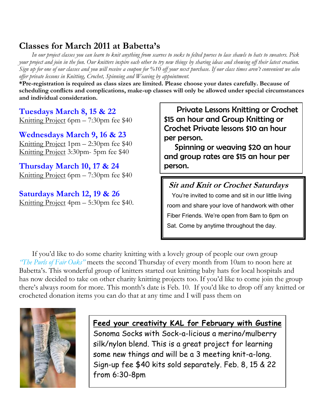### **Classes for March 2011 at Babetta's**

 *In our project classes you can learn to knit anything from scarves to socks to felted purses to lace shawls to hats to sweaters. Pick your project and join in the fun. Our knitters inspire each other to try new things by sharing ideas and showing off their latest creation. Sign up for one of our classes and you will receive a coupon for %10 off your next purchase. If our class times aren't convenient we also offer private lessons in Knitting, Crochet, Spinning and Weaving by appointment.*

**\*Pre-registration is required as class sizes are limited. Please choose your dates carefully. Because of scheduling conflicts and complications, make-up classes will only be allowed under special circumstances and individual consideration.**

**Tuesdays March 8, 15 & 22** Knitting Project 6pm – 7:30pm fee \$40

**Wednesdays March 9, 16 & 23** Knitting Project 1pm – 2:30pm fee \$40 Knitting Project 3:30pm- 5pm fee \$40

**Thursday March 10, 17 & 24** Knitting Project 6pm – 7:30pm fee \$40

**Saturdays March 12, 19 & 26** Knitting Project 4pm – 5:30pm fee \$40.

 Private Lessons Knitting or Crochet \$15 an hour and Group Knitting or Crochet Private lessons \$10 an hour per person.

 Spinning or weaving \$20 an hour and group rates are \$15 an hour per person.

#### **Sit and Knit or Crochet Saturdays**

 You're invited to come and sit in our little living room and share your love of handwork with other Fiber Friends. We're open from 8am to 6pm on Sat. Come by anytime throughout the day.

If you'd like to do some charity knitting with a lovely group of people our own group *"The Purls of Fair Oaks"* meets the second Thursday of every month from 10am to noon here at Babetta's. This wonderful group of knitters started out knitting baby hats for local hospitals and has now decided to take on other charity knitting projects too. If you'd like to come join the group there's always room for more. This month's date is Feb. 10. If you'd like to drop off any knitted or crocheted donation items you can do that at any time and I will pass them on



**Feed your creativity KAL for February with Gustine**  Sonoma Socks with Sock-a-licious a merino/mulberry silk/nylon blend. This is a great project for learning some new things and will be a 3 meeting knit-a-long. Sign-up fee \$40 kits sold separately. Feb. 8, 15 & 22 from 6:30-8pm